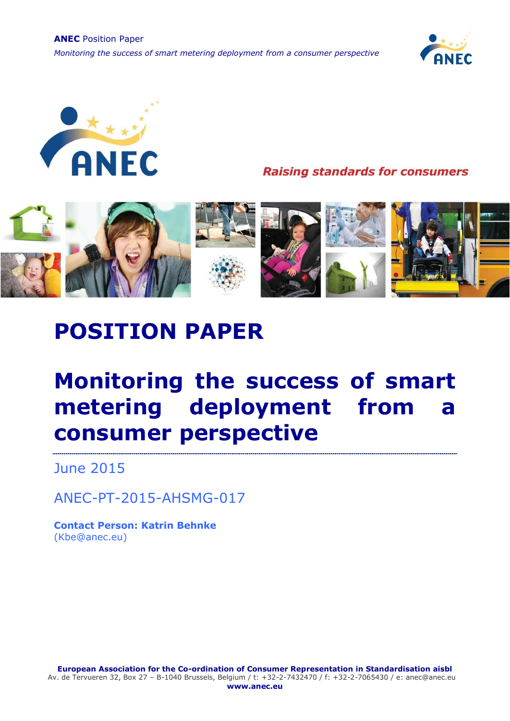**ANEC** Position Paper *Monitoring the success of smart metering deployment from a consumer perspective*





**Raising standards for consumers** 



# **POSITION PAPER**

# **Monitoring the success of smart metering deployment from a consumer perspective**

June 2015

ANEC-PT-2015-AHSMG-017

**Contact Person: Katrin Behnke** (Kbe@anec.eu)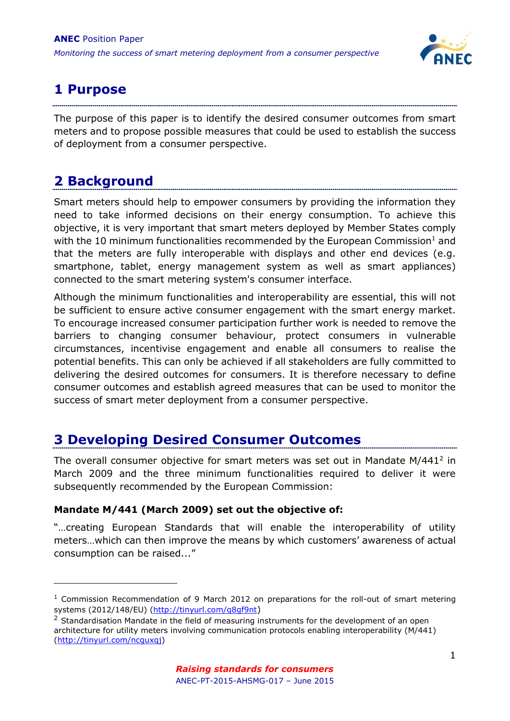

## **1 Purpose**

The purpose of this paper is to identify the desired consumer outcomes from smart meters and to propose possible measures that could be used to establish the success of deployment from a consumer perspective.

## **2 Background**

-

Smart meters should help to empower consumers by providing the information they need to take informed decisions on their energy consumption. To achieve this objective, it is very important that smart meters deployed by Member States comply with the 10 minimum functionalities recommended by the European Commission<sup>1</sup> and that the meters are fully interoperable with displays and other end devices (e.g. smartphone, tablet, energy management system as well as smart appliances) connected to the smart metering system's consumer interface.

Although the minimum functionalities and interoperability are essential, this will not be sufficient to ensure active consumer engagement with the smart energy market. To encourage increased consumer participation further work is needed to remove the barriers to changing consumer behaviour, protect consumers in vulnerable circumstances, incentivise engagement and enable all consumers to realise the potential benefits. This can only be achieved if all stakeholders are fully committed to delivering the desired outcomes for consumers. It is therefore necessary to define consumer outcomes and establish agreed measures that can be used to monitor the success of smart meter deployment from a consumer perspective.

## **3 Developing Desired Consumer Outcomes**

The overall consumer objective for smart meters was set out in Mandate  $M/441<sup>2</sup>$  in March 2009 and the three minimum functionalities required to deliver it were subsequently recommended by the European Commission:

### **Mandate M/441 (March 2009) set out the objective of:**

"…creating European Standards that will enable the interoperability of utility meters…which can then improve the means by which customers' awareness of actual consumption can be raised..."

 $<sup>1</sup>$  Commission Recommendation of 9 March 2012 on preparations for the roll-out of smart metering</sup> systems (2012/148/EU) (http://tinyurl.com/q8qf9nt)

 $2$  Standardisation Mandate in the field of measuring instruments for the development of an open architecture for utility meters involving communication protocols enabling interoperability (M/441) [\(http://tinyurl.com/ncguxqj\)](http://tinyurl.com/ncguxqj)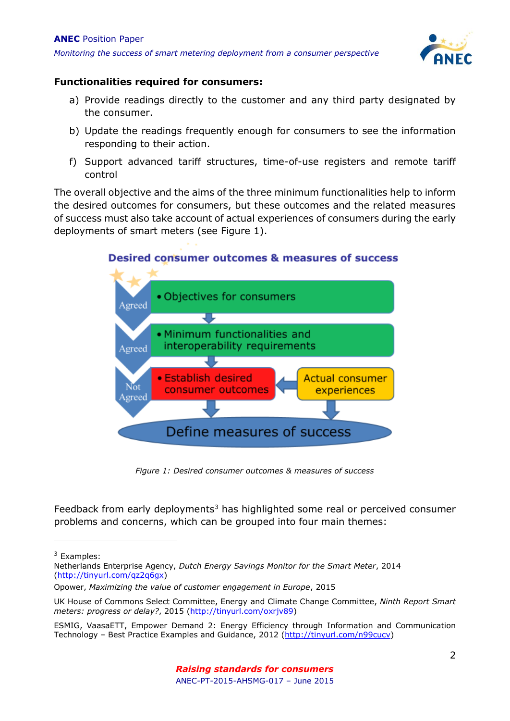

#### **Functionalities required for consumers:**

- a) Provide readings directly to the customer and any third party designated by the consumer.
- b) Update the readings frequently enough for consumers to see the information responding to their action.
- f) Support advanced tariff structures, time-of-use registers and remote tariff control

The overall objective and the aims of the three minimum functionalities help to inform the desired outcomes for consumers, but these outcomes and the related measures of success must also take account of actual experiences of consumers during the early deployments of smart meters (see Figure 1).





*Figure 1: Desired consumer outcomes & measures of success*

Feedback from early deployments<sup>3</sup> has highlighted some real or perceived consumer problems and concerns, which can be grouped into four main themes:

-

<sup>3</sup> Examples:

Netherlands Enterprise Agency, *Dutch Energy Savings Monitor for the Smart Meter*, 2014 [\(http://tinyurl.com/qz2q6gx\)](http://tinyurl.com/qz2q6gx)

Opower, *Maximizing the value of customer engagement in Europe*, 2015

UK House of Commons Select Committee, Energy and Climate Change Committee, *Ninth Report Smart meters: progress or delay?*, 2015 [\(http://tinyurl.com/oxrjv89\)](http://tinyurl.com/oxrjv89)

ESMIG, VaasaETT, Empower Demand 2: Energy Efficiency through Information and Communication Technology – Best Practice Examples and Guidance, 2012 [\(http://tinyurl.com/n99cucv\)](http://tinyurl.com/n99cucv)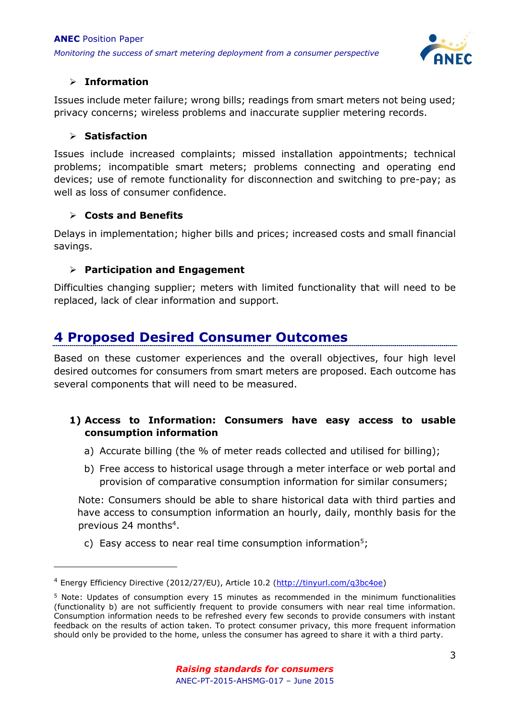

### **Information**

Issues include meter failure; wrong bills; readings from smart meters not being used; privacy concerns; wireless problems and inaccurate supplier metering records.

#### **Satisfaction**

-

Issues include increased complaints; missed installation appointments; technical problems; incompatible smart meters; problems connecting and operating end devices; use of remote functionality for disconnection and switching to pre-pay; as well as loss of consumer confidence.

### **Costs and Benefits**

Delays in implementation; higher bills and prices; increased costs and small financial savings.

### **Participation and Engagement**

Difficulties changing supplier; meters with limited functionality that will need to be replaced, lack of clear information and support.

## **4 Proposed Desired Consumer Outcomes**

Based on these customer experiences and the overall objectives, four high level desired outcomes for consumers from smart meters are proposed. Each outcome has several components that will need to be measured.

#### **1) Access to Information: Consumers have easy access to usable consumption information**

- a) Accurate billing (the % of meter reads collected and utilised for billing);
- b) Free access to historical usage through a meter interface or web portal and provision of comparative consumption information for similar consumers;

Note: Consumers should be able to share historical data with third parties and have access to consumption information an hourly, daily, monthly basis for the previous 24 months<sup>4</sup>.

c) Easy access to near real time consumption information<sup>5</sup>;

<sup>4</sup> Energy Efficiency Directive (2012/27/EU), Article 10.2 [\(http://tinyurl.com/q3bc4oe\)](http://tinyurl.com/q3bc4oe)

<sup>5</sup> Note: Updates of consumption every 15 minutes as recommended in the minimum functionalities (functionality b) are not sufficiently frequent to provide consumers with near real time information. Consumption information needs to be refreshed every few seconds to provide consumers with instant feedback on the results of action taken. To protect consumer privacy, this more frequent information should only be provided to the home, unless the consumer has agreed to share it with a third party.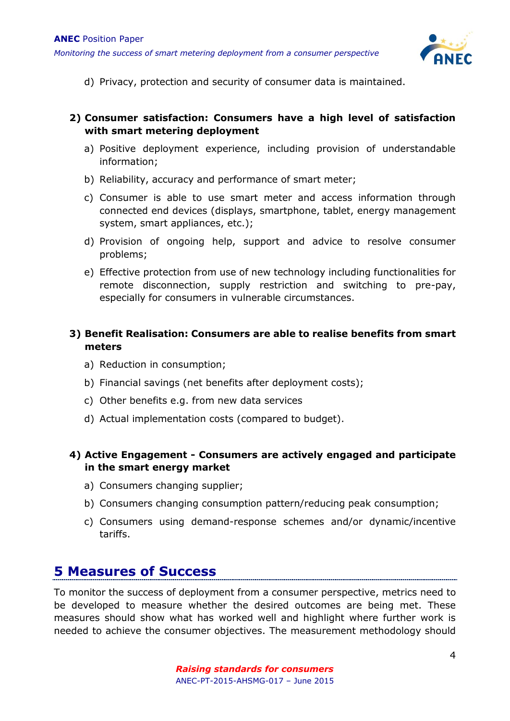

d) Privacy, protection and security of consumer data is maintained.

#### **2) Consumer satisfaction: Consumers have a high level of satisfaction with smart metering deployment**

- a) Positive deployment experience, including provision of understandable information;
- b) Reliability, accuracy and performance of smart meter;
- c) Consumer is able to use smart meter and access information through connected end devices (displays, smartphone, tablet, energy management system, smart appliances, etc.);
- d) Provision of ongoing help, support and advice to resolve consumer problems;
- e) Effective protection from use of new technology including functionalities for remote disconnection, supply restriction and switching to pre-pay, especially for consumers in vulnerable circumstances.

### **3) Benefit Realisation: Consumers are able to realise benefits from smart meters**

- a) Reduction in consumption;
- b) Financial savings (net benefits after deployment costs);
- c) Other benefits e.g. from new data services
- d) Actual implementation costs (compared to budget).

#### **4) Active Engagement - Consumers are actively engaged and participate in the smart energy market**

- a) Consumers changing supplier;
- b) Consumers changing consumption pattern/reducing peak consumption;
- c) Consumers using demand-response schemes and/or dynamic/incentive tariffs.

## **5 Measures of Success**

To monitor the success of deployment from a consumer perspective, metrics need to be developed to measure whether the desired outcomes are being met. These measures should show what has worked well and highlight where further work is needed to achieve the consumer objectives. The measurement methodology should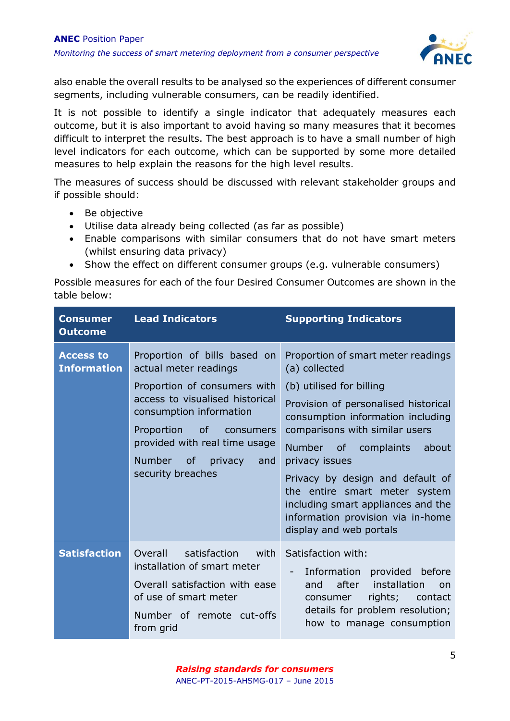

also enable the overall results to be analysed so the experiences of different consumer segments, including vulnerable consumers, can be readily identified.

It is not possible to identify a single indicator that adequately measures each outcome, but it is also important to avoid having so many measures that it becomes difficult to interpret the results. The best approach is to have a small number of high level indicators for each outcome, which can be supported by some more detailed measures to help explain the reasons for the high level results.

The measures of success should be discussed with relevant stakeholder groups and if possible should:

- Be objective
- Utilise data already being collected (as far as possible)
- Enable comparisons with similar consumers that do not have smart meters (whilst ensuring data privacy)
- Show the effect on different consumer groups (e.g. vulnerable consumers)

Possible measures for each of the four Desired Consumer Outcomes are shown in the table below:

| <b>Consumer</b><br><b>Outcome</b>      | <b>Lead Indicators</b>                                                                                                                                                                                                                                                        | <b>Supporting Indicators</b>                                                                                                                                                                                                                                                                                                                                                                                                 |
|----------------------------------------|-------------------------------------------------------------------------------------------------------------------------------------------------------------------------------------------------------------------------------------------------------------------------------|------------------------------------------------------------------------------------------------------------------------------------------------------------------------------------------------------------------------------------------------------------------------------------------------------------------------------------------------------------------------------------------------------------------------------|
| <b>Access to</b><br><b>Information</b> | Proportion of bills based on<br>actual meter readings<br>Proportion of consumers with<br>access to visualised historical<br>consumption information<br>Proportion of<br>consumers<br>provided with real time usage<br><b>Number</b><br>of privacy<br>and<br>security breaches | Proportion of smart meter readings<br>(a) collected<br>(b) utilised for billing<br>Provision of personalised historical<br>consumption information including<br>comparisons with similar users<br>Number of complaints<br>about<br>privacy issues<br>Privacy by design and default of<br>the entire smart meter system<br>including smart appliances and the<br>information provision via in-home<br>display and web portals |
| <b>Satisfaction</b>                    | Overall<br>satisfaction<br>with<br>installation of smart meter<br>Overall satisfaction with ease<br>of use of smart meter<br>Number of remote cut-offs<br>from grid                                                                                                           | Satisfaction with:<br>Information provided before<br>after<br>installation<br>and<br>on<br>rights; contact<br>consumer<br>details for problem resolution;<br>how to manage consumption                                                                                                                                                                                                                                       |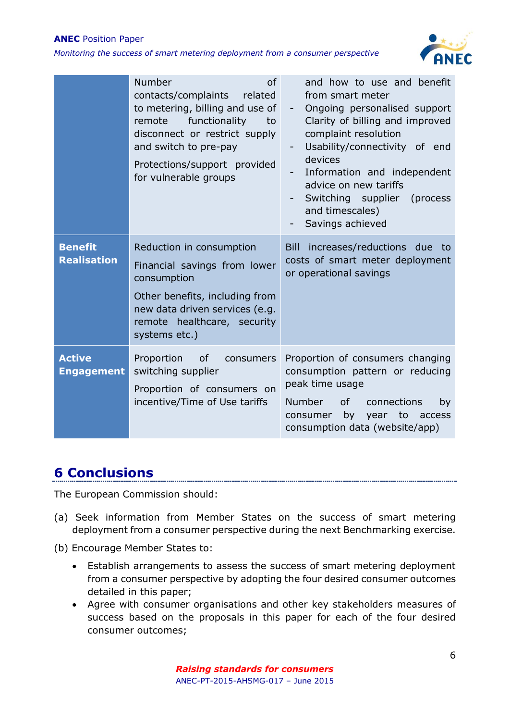#### **ANEC** Position Paper

*Monitoring the success of smart metering deployment from a consumer perspective*



|                                      | Number<br><b>of</b><br>contacts/complaints<br>related<br>to metering, billing and use of<br>functionality<br>remote<br>to<br>disconnect or restrict supply<br>and switch to pre-pay<br>Protections/support provided<br>for vulnerable groups | and how to use and benefit<br>from smart meter<br>Ongoing personalised support<br>$\overline{\phantom{a}}$<br>Clarity of billing and improved<br>complaint resolution<br>Usability/connectivity of end<br>devices<br>Information and independent<br>advice on new tariffs<br>Switching supplier<br>(process)<br>and timescales)<br>Savings achieved |
|--------------------------------------|----------------------------------------------------------------------------------------------------------------------------------------------------------------------------------------------------------------------------------------------|-----------------------------------------------------------------------------------------------------------------------------------------------------------------------------------------------------------------------------------------------------------------------------------------------------------------------------------------------------|
| <b>Benefit</b><br><b>Realisation</b> | Reduction in consumption<br>Financial savings from lower<br>consumption<br>Other benefits, including from<br>new data driven services (e.g.<br>remote healthcare, security<br>systems etc.)                                                  | increases/reductions due to<br>Bill<br>costs of smart meter deployment<br>or operational savings                                                                                                                                                                                                                                                    |
| <b>Active</b><br><b>Engagement</b>   | Proportion<br><b>of</b><br>consumers<br>switching supplier<br>Proportion of consumers on<br>incentive/Time of Use tariffs                                                                                                                    | Proportion of consumers changing<br>consumption pattern or reducing<br>peak time usage<br><b>Number</b><br>of<br>connections<br>by<br>by<br>year to<br>consumer<br>access<br>consumption data (website/app)                                                                                                                                         |

## **6 Conclusions**

The European Commission should:

- (a) Seek information from Member States on the success of smart metering deployment from a consumer perspective during the next Benchmarking exercise.
- (b) Encourage Member States to:
	- Establish arrangements to assess the success of smart metering deployment from a consumer perspective by adopting the four desired consumer outcomes detailed in this paper;
	- Agree with consumer organisations and other key stakeholders measures of success based on the proposals in this paper for each of the four desired consumer outcomes;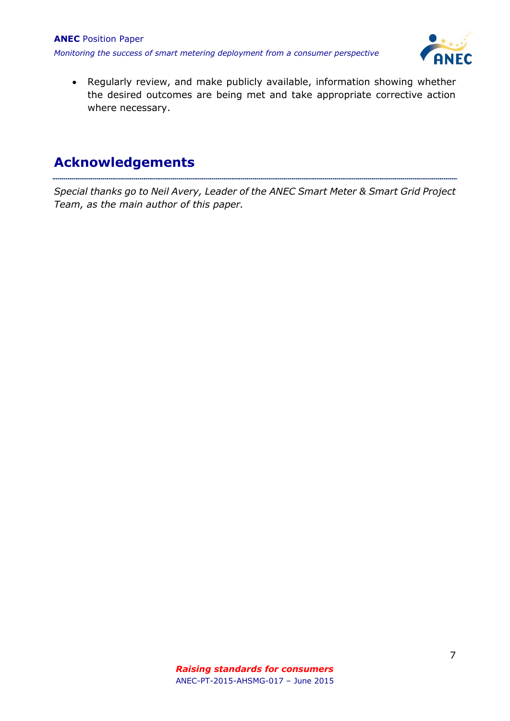

 Regularly review, and make publicly available, information showing whether the desired outcomes are being met and take appropriate corrective action where necessary.

## **Acknowledgements**

*Special thanks go to Neil Avery, Leader of the ANEC Smart Meter & Smart Grid Project Team, as the main author of this paper.*